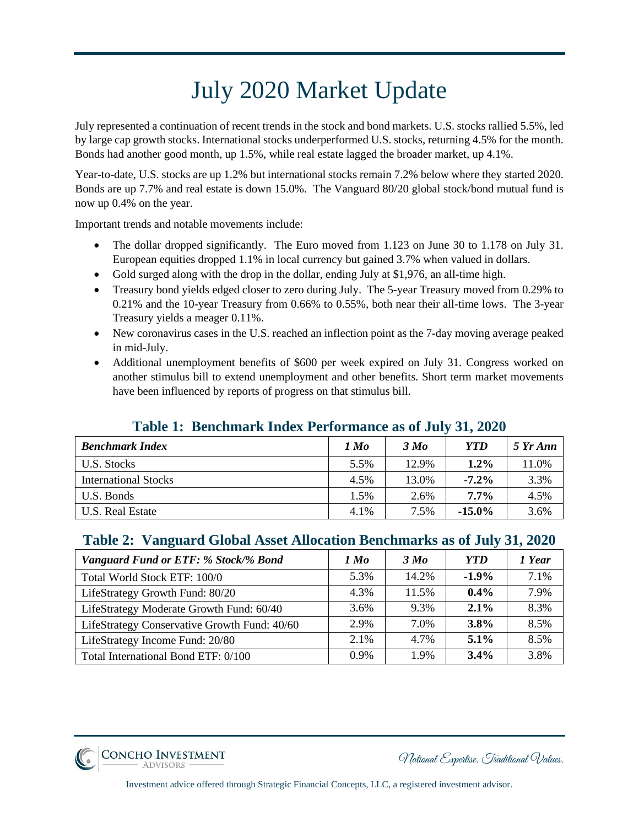## July 2020 Market Update

July represented a continuation of recent trends in the stock and bond markets. U.S. stocks rallied 5.5%, led by large cap growth stocks. International stocks underperformed U.S. stocks, returning 4.5% for the month. Bonds had another good month, up 1.5%, while real estate lagged the broader market, up 4.1%.

Year-to-date, U.S. stocks are up 1.2% but international stocks remain 7.2% below where they started 2020. Bonds are up 7.7% and real estate is down 15.0%. The Vanguard 80/20 global stock/bond mutual fund is now up 0.4% on the year.

Important trends and notable movements include:

- The dollar dropped significantly. The Euro moved from 1.123 on June 30 to 1.178 on July 31. European equities dropped 1.1% in local currency but gained 3.7% when valued in dollars.
- Gold surged along with the drop in the dollar, ending July at \$1,976, an all-time high.
- Treasury bond yields edged closer to zero during July. The 5-year Treasury moved from 0.29% to 0.21% and the 10-year Treasury from 0.66% to 0.55%, both near their all-time lows. The 3-year Treasury yields a meager 0.11%.
- New coronavirus cases in the U.S. reached an inflection point as the 7-day moving average peaked in mid-July.
- Additional unemployment benefits of \$600 per week expired on July 31. Congress worked on another stimulus bill to extend unemployment and other benefits. Short term market movements have been influenced by reports of progress on that stimulus bill.

## **Table 1: Benchmark Index Performance as of July 31, 2020**

| <b>Benchmark Index</b>      | 1 Mo | 3 Mo  | <b>YTD</b> | 5 Yr Ann |
|-----------------------------|------|-------|------------|----------|
| U.S. Stocks                 | 5.5% | 12.9% | 1.2%       | 11.0%    |
| <b>International Stocks</b> | 4.5% | 13.0% | $-7.2\%$   | 3.3%     |
| U.S. Bonds                  | 1.5% | 2.6%  | 7.7%       | 4.5%     |
| U.S. Real Estate            | 4.1% | 7.5%  | $-15.0\%$  | 3.6%     |

## **Table 2: Vanguard Global Asset Allocation Benchmarks as of July 31, 2020**

| Vanguard Fund or ETF: % Stock/% Bond         | 1 Мо    | 3 Mo  | <b>YTD</b> | 1 Year |
|----------------------------------------------|---------|-------|------------|--------|
| Total World Stock ETF: 100/0                 | 5.3%    | 14.2% | $-1.9\%$   | 7.1%   |
| LifeStrategy Growth Fund: 80/20              | 4.3%    | 11.5% | $0.4\%$    | 7.9%   |
| LifeStrategy Moderate Growth Fund: 60/40     | 3.6%    | 9.3%  | $2.1\%$    | 8.3%   |
| LifeStrategy Conservative Growth Fund: 40/60 | 2.9%    | 7.0%  | 3.8%       | 8.5%   |
| LifeStrategy Income Fund: 20/80              | $2.1\%$ | 4.7%  | $5.1\%$    | 8.5%   |
| Total International Bond ETF: 0/100          | $0.9\%$ | 1.9%  | $3.4\%$    | 3.8%   |

**CONCHO INVESTMENT** 

National Expertise. Traditional Values.

Investment advice offered through Strategic Financial Concepts, LLC, a registered investment advisor.